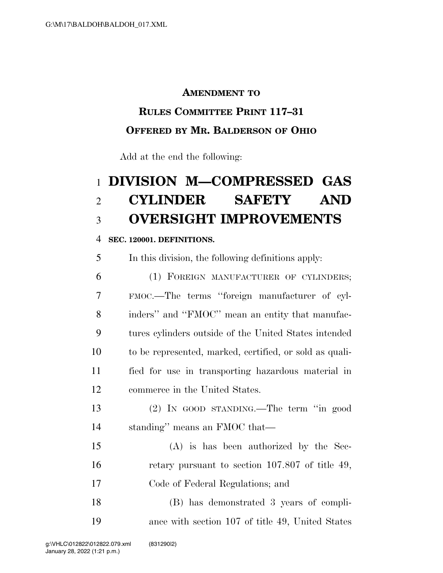### **AMENDMENT TO**

### **RULES COMMITTEE PRINT 117–31**

### **OFFERED BY MR. BALDERSON OF OHIO**

Add at the end the following:

# **DIVISION M—COMPRESSED GAS CYLINDER SAFETY AND OVERSIGHT IMPROVEMENTS**

#### **SEC. 120001. DEFINITIONS.**

In this division, the following definitions apply:

 (1) FOREIGN MANUFACTURER OF CYLINDERS; FMOC.—The terms ''foreign manufacturer of cyl- inders'' and ''FMOC'' mean an entity that manufac- tures cylinders outside of the United States intended to be represented, marked, certified, or sold as quali- fied for use in transporting hazardous material in commerce in the United States.

 (2) IN GOOD STANDING.—The term ''in good standing'' means an FMOC that—

 (A) is has been authorized by the Sec-16 retary pursuant to section 107.807 of title 49, Code of Federal Regulations; and

 (B) has demonstrated 3 years of compli-ance with section 107 of title 49, United States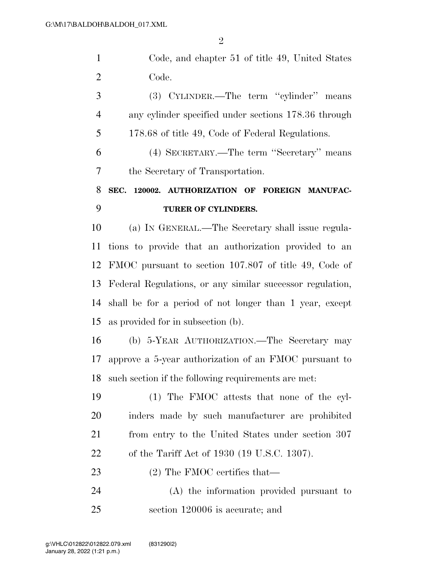Code, and chapter 51 of title 49, United States Code.

 (3) CYLINDER.—The term ''cylinder'' means any cylinder specified under sections 178.36 through 178.68 of title 49, Code of Federal Regulations.

 (4) SECRETARY.—The term ''Secretary'' means the Secretary of Transportation.

# **SEC. 120002. AUTHORIZATION OF FOREIGN MANUFAC-TURER OF CYLINDERS.**

 (a) IN GENERAL.—The Secretary shall issue regula- tions to provide that an authorization provided to an FMOC pursuant to section 107.807 of title 49, Code of Federal Regulations, or any similar successor regulation, shall be for a period of not longer than 1 year, except as provided for in subsection (b).

 (b) 5-YEAR AUTHORIZATION.—The Secretary may approve a 5-year authorization of an FMOC pursuant to such section if the following requirements are met:

 (1) The FMOC attests that none of the cyl- inders made by such manufacturer are prohibited from entry to the United States under section 307 of the Tariff Act of 1930 (19 U.S.C. 1307).

23 (2) The FMOC certifies that—

 (A) the information provided pursuant to section 120006 is accurate; and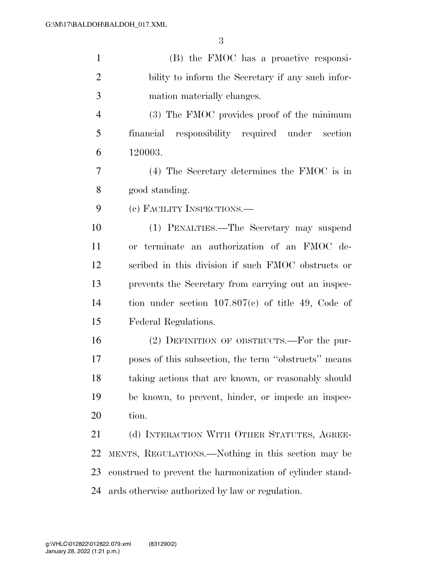| $\mathbf{1}$   | (B) the FMOC has a proactive responsi-                    |
|----------------|-----------------------------------------------------------|
| $\overline{2}$ | bility to inform the Secretary if any such infor-         |
| 3              | mation materially changes.                                |
| $\overline{4}$ | (3) The FMOC provides proof of the minimum                |
| 5              | financial responsibility required under section           |
| 6              | 120003.                                                   |
| 7              | $(4)$ The Secretary determines the FMOC is in             |
| 8              | good standing.                                            |
| 9              | (c) FACILITY INSPECTIONS.—                                |
| 10             | (1) PENALTIES.—The Secretary may suspend                  |
| 11             | or terminate an authorization of an FMOC de-              |
| 12             | scribed in this division if such FMOC obstructs or        |
| 13             | prevents the Secretary from carrying out an inspec-       |
| 14             | tion under section $107.807(c)$ of title 49, Code of      |
| 15             | Federal Regulations.                                      |
| 16             | (2) DEFINITION OF OBSTRUCTS.—For the pur-                 |
| 17             | poses of this subsection, the term "obstructs" means      |
| 18             | taking actions that are known, or reasonably should       |
| 19             | be known, to prevent, hinder, or impede an inspec-        |
| 20             | tion.                                                     |
| 21             | (d) INTERACTION WITH OTHER STATUTES, AGREE-               |
| 22             | MENTS, REGULATIONS.—Nothing in this section may be        |
| 23             | construed to prevent the harmonization of cylinder stand- |
| 24             | ards otherwise authorized by law or regulation.           |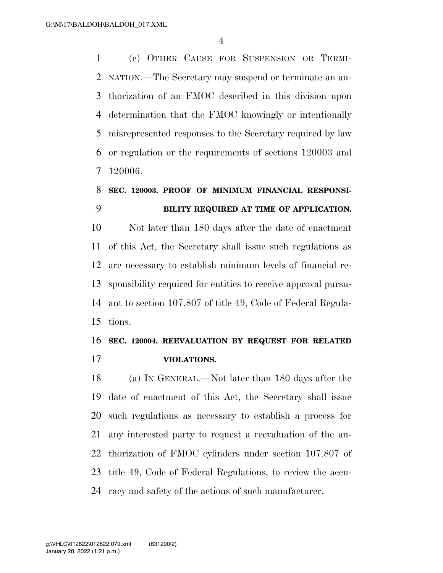(e) OTHER CAUSE FOR SUSPENSION OR TERMI- NATION.—The Secretary may suspend or terminate an au- thorization of an FMOC described in this division upon determination that the FMOC knowingly or intentionally misrepresented responses to the Secretary required by law or regulation or the requirements of sections 120003 and 120006.

### **SEC. 120003. PROOF OF MINIMUM FINANCIAL RESPONSI-BILITY REQUIRED AT TIME OF APPLICATION.**

 Not later than 180 days after the date of enactment of this Act, the Secretary shall issue such regulations as are necessary to establish minimum levels of financial re- sponsibility required for entities to receive approval pursu- ant to section 107.807 of title 49, Code of Federal Regula-tions.

### **SEC. 120004. REEVALUATION BY REQUEST FOR RELATED VIOLATIONS.**

 (a) IN GENERAL.—Not later than 180 days after the date of enactment of this Act, the Secretary shall issue such regulations as necessary to establish a process for any interested party to request a reevaluation of the au- thorization of FMOC cylinders under section 107.807 of title 49, Code of Federal Regulations, to review the accu-racy and safety of the actions of such manufacturer.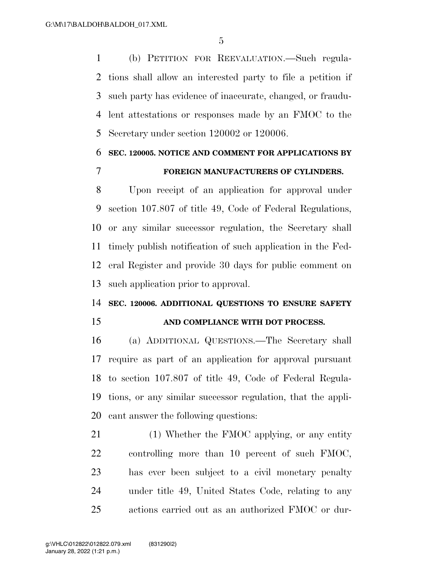(b) PETITION FOR REEVALUATION.—Such regula- tions shall allow an interested party to file a petition if such party has evidence of inaccurate, changed, or fraudu- lent attestations or responses made by an FMOC to the Secretary under section 120002 or 120006.

## **SEC. 120005. NOTICE AND COMMENT FOR APPLICATIONS BY FOREIGN MANUFACTURERS OF CYLINDERS.**

 Upon receipt of an application for approval under section 107.807 of title 49, Code of Federal Regulations, or any similar successor regulation, the Secretary shall timely publish notification of such application in the Fed- eral Register and provide 30 days for public comment on such application prior to approval.

### **SEC. 120006. ADDITIONAL QUESTIONS TO ENSURE SAFETY**

#### **AND COMPLIANCE WITH DOT PROCESS.**

 (a) ADDITIONAL QUESTIONS.—The Secretary shall require as part of an application for approval pursuant to section 107.807 of title 49, Code of Federal Regula- tions, or any similar successor regulation, that the appli-cant answer the following questions:

21 (1) Whether the FMOC applying, or any entity controlling more than 10 percent of such FMOC, has ever been subject to a civil monetary penalty under title 49, United States Code, relating to any actions carried out as an authorized FMOC or dur-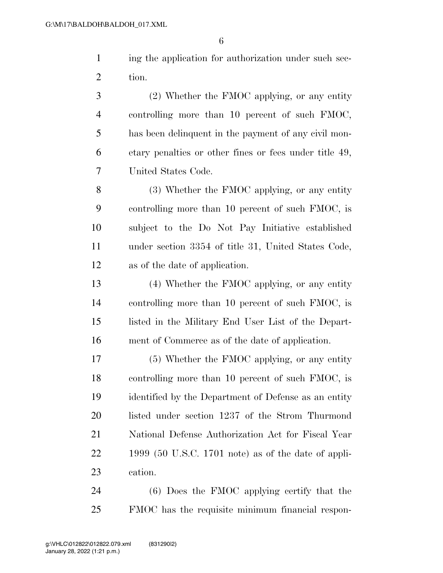ing the application for authorization under such sec-tion.

 (2) Whether the FMOC applying, or any entity controlling more than 10 percent of such FMOC, has been delinquent in the payment of any civil mon- etary penalties or other fines or fees under title 49, United States Code.

 (3) Whether the FMOC applying, or any entity controlling more than 10 percent of such FMOC, is subject to the Do Not Pay Initiative established under section 3354 of title 31, United States Code, as of the date of application.

 (4) Whether the FMOC applying, or any entity controlling more than 10 percent of such FMOC, is listed in the Military End User List of the Depart-ment of Commerce as of the date of application.

 (5) Whether the FMOC applying, or any entity controlling more than 10 percent of such FMOC, is identified by the Department of Defense as an entity listed under section 1237 of the Strom Thurmond National Defense Authorization Act for Fiscal Year 1999 (50 U.S.C. 1701 note) as of the date of appli-cation.

 (6) Does the FMOC applying certify that the FMOC has the requisite minimum financial respon-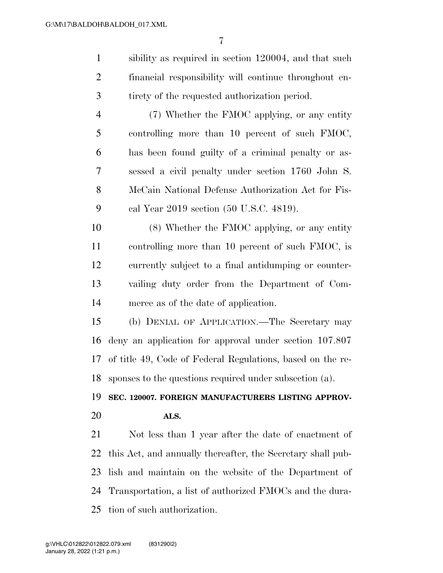sibility as required in section 120004, and that such financial responsibility will continue throughout en-tirety of the requested authorization period.

 (7) Whether the FMOC applying, or any entity controlling more than 10 percent of such FMOC, has been found guilty of a criminal penalty or as- sessed a civil penalty under section 1760 John S. McCain National Defense Authorization Act for Fis-cal Year 2019 section (50 U.S.C. 4819).

 (8) Whether the FMOC applying, or any entity controlling more than 10 percent of such FMOC, is currently subject to a final antidumping or counter- vailing duty order from the Department of Com-merce as of the date of application.

 (b) DENIAL OF APPLICATION.—The Secretary may deny an application for approval under section 107.807 of title 49, Code of Federal Regulations, based on the re-sponses to the questions required under subsection (a).

**SEC. 120007. FOREIGN MANUFACTURERS LISTING APPROV-**

#### **ALS.**

 Not less than 1 year after the date of enactment of this Act, and annually thereafter, the Secretary shall pub- lish and maintain on the website of the Department of Transportation, a list of authorized FMOCs and the dura-tion of such authorization.